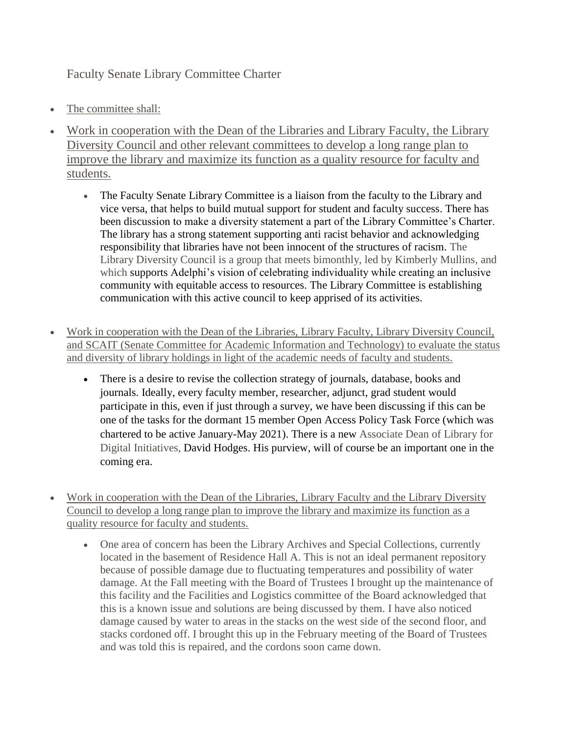Faculty Senate Library Committee Charter

- The committee shall:
- Work in cooperation with the Dean of the Libraries and Library Faculty, the Library Diversity Council and other relevant committees to develop a long range plan to improve the library and maximize its function as a quality resource for faculty and students.
	- The Faculty Senate Library Committee is a liaison from the faculty to the Library and vice versa, that helps to build mutual support for student and faculty success. There has been discussion to make a diversity statement a part of the Library Committee's Charter. The library has a strong statement supporting anti racist behavior and acknowledging responsibility that libraries have not been innocent of the structures of racism. The Library Diversity Council is a group that meets bimonthly, led by Kimberly Mullins, and which supports Adelphi's vision of celebrating individuality while creating an inclusive community with equitable access to resources. The Library Committee is establishing communication with this active council to keep apprised of its activities.
- Work in cooperation with the Dean of the Libraries, Library Faculty, Library Diversity Council, and SCAIT (Senate Committee for Academic Information and Technology) to evaluate the status and diversity of library holdings in light of the academic needs of faculty and students.
	- There is a desire to revise the collection strategy of journals, database, books and journals. Ideally, every faculty member, researcher, adjunct, grad student would participate in this, even if just through a survey, we have been discussing if this can be one of the tasks for the dormant 15 member Open Access Policy Task Force (which was chartered to be active January-May 2021). There is a new Associate Dean of Library for Digital Initiatives, David Hodges. His purview, will of course be an important one in the coming era.
- Work in cooperation with the Dean of the Libraries, Library Faculty and the Library Diversity Council to develop a long range plan to improve the library and maximize its function as a quality resource for faculty and students.
	- One area of concern has been the Library Archives and Special Collections, currently located in the basement of Residence Hall A. This is not an ideal permanent repository because of possible damage due to fluctuating temperatures and possibility of water damage. At the Fall meeting with the Board of Trustees I brought up the maintenance of this facility and the Facilities and Logistics committee of the Board acknowledged that this is a known issue and solutions are being discussed by them. I have also noticed damage caused by water to areas in the stacks on the west side of the second floor, and stacks cordoned off. I brought this up in the February meeting of the Board of Trustees and was told this is repaired, and the cordons soon came down.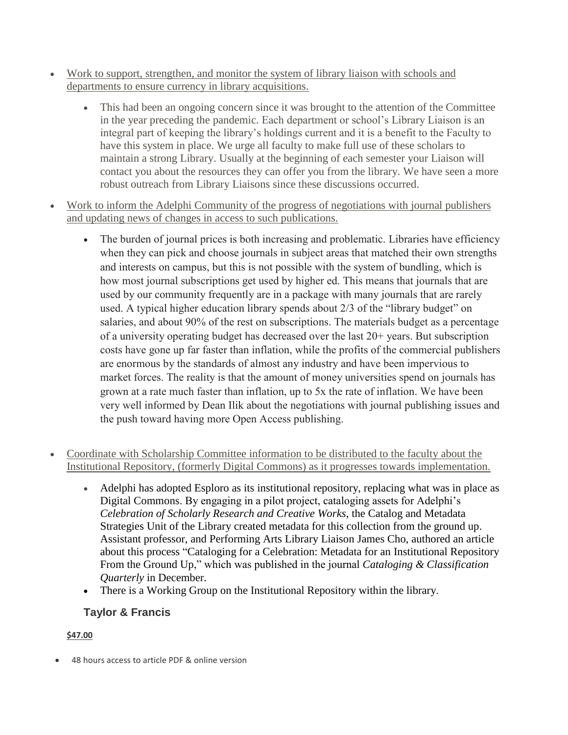- Work to support, strengthen, and monitor the system of library liaison with schools and departments to ensure currency in library acquisitions.
	- This had been an ongoing concern since it was brought to the attention of the Committee in the year preceding the pandemic. Each department or school's Library Liaison is an integral part of keeping the library's holdings current and it is a benefit to the Faculty to have this system in place. We urge all faculty to make full use of these scholars to maintain a strong Library. Usually at the beginning of each semester your Liaison will contact you about the resources they can offer you from the library. We have seen a more robust outreach from Library Liaisons since these discussions occurred.
- Work to inform the Adelphi Community of the progress of negotiations with journal publishers and updating news of changes in access to such publications.
	- The burden of journal prices is both increasing and problematic. Libraries have efficiency when they can pick and choose journals in subject areas that matched their own strengths and interests on campus, but this is not possible with the system of bundling, which is how most journal subscriptions get used by higher ed. This means that journals that are used by our community frequently are in a package with many journals that are rarely used. A typical higher education library spends about 2/3 of the "library budget" on salaries, and about 90% of the rest on subscriptions. The materials budget as a percentage of a university operating budget has decreased over the last 20+ years. But subscription costs have gone up far faster than inflation, while the profits of the commercial publishers are enormous by the standards of almost any industry and have been impervious to market forces. The reality is that the amount of money universities spend on journals has grown at a rate much faster than inflation, up to 5x the rate of inflation. We have been very well informed by Dean Ilik about the negotiations with journal publishing issues and the push toward having more Open Access publishing.
- Coordinate with Scholarship Committee information to be distributed to the faculty about the Institutional Repository, (formerly Digital Commons) as it progresses towards implementation.
	- Adelphi has adopted Esploro as its institutional repository, replacing what was in place as Digital Commons. By engaging in a pilot project, cataloging assets for Adelphi's *Celebration of Scholarly Research and Creative Works*, the Catalog and Metadata Strategies Unit of the Library created metadata for this collection from the ground up. Assistant professor, and Performing Arts Library Liaison James Cho, authored an article about this process ["Cataloging for a Celebration: Metadata for an Institutional](https://www.tandfonline.com/doi/full/10.1080/01639374.2021.2018633) Repository From [the Ground Up,](https://www.tandfonline.com/doi/full/10.1080/01639374.2021.2018633)" which was published in the journal *Cataloging & Classification Quarterly* in December.
	- There is a Working Group on the Institutional Repository within the library.

# **Taylor & Francis**

## **\$47.00**

48 hours access to article PDF & online version